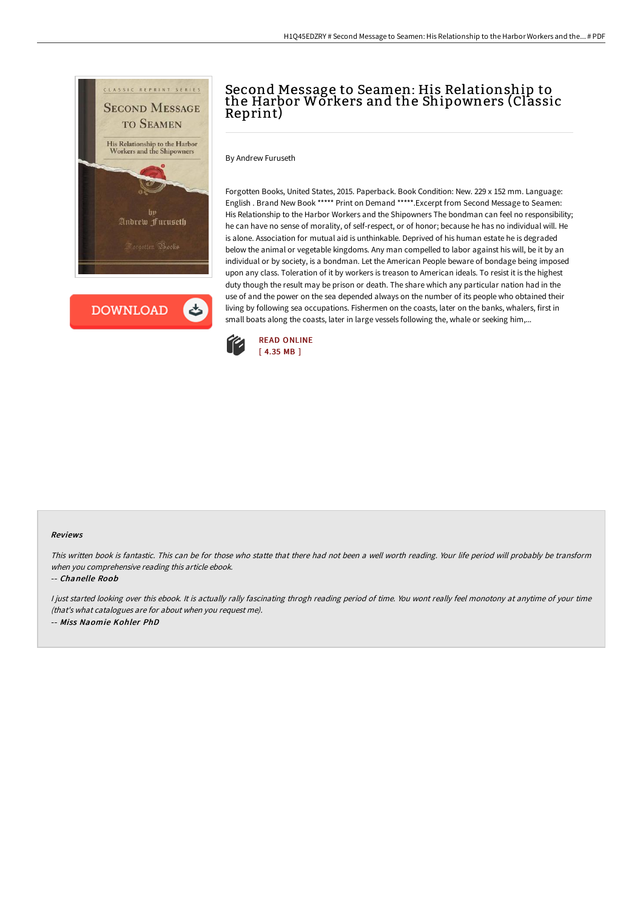

**DOWNLOAD** ٹ

# Second Message to Seamen: His Relationship to the Harbor Workers and the Shipowners (Classic Reprint)

By Andrew Furuseth

Forgotten Books, United States, 2015. Paperback. Book Condition: New. 229 x 152 mm. Language: English . Brand New Book \*\*\*\*\* Print on Demand \*\*\*\*\*.Excerpt from Second Message to Seamen: His Relationship to the Harbor Workers and the Shipowners The bondman can feel no responsibility; he can have no sense of morality, of self-respect, or of honor; because he has no individual will. He is alone. Association for mutual aid is unthinkable. Deprived of his human estate he is degraded below the animal or vegetable kingdoms. Any man compelled to labor against his will, be it by an individual or by society, is a bondman. Let the American People beware of bondage being imposed upon any class. Toleration of it by workers is treason to American ideals. To resist it is the highest duty though the result may be prison or death. The share which any particular nation had in the use of and the power on the sea depended always on the number of its people who obtained their living by following sea occupations. Fishermen on the coasts, later on the banks, whalers, first in small boats along the coasts, later in large vessels following the, whale or seeking him,...



#### Reviews

This written book is fantastic. This can be for those who statte that there had not been <sup>a</sup> well worth reading. Your life period will probably be transform when you comprehensive reading this article ebook.

-- Chanelle Roob

I just started looking over this ebook. It is actually rally fascinating throgh reading period of time. You wont really feel monotony at anytime of your time (that's what catalogues are for about when you request me). -- Miss Naomie Kohler PhD